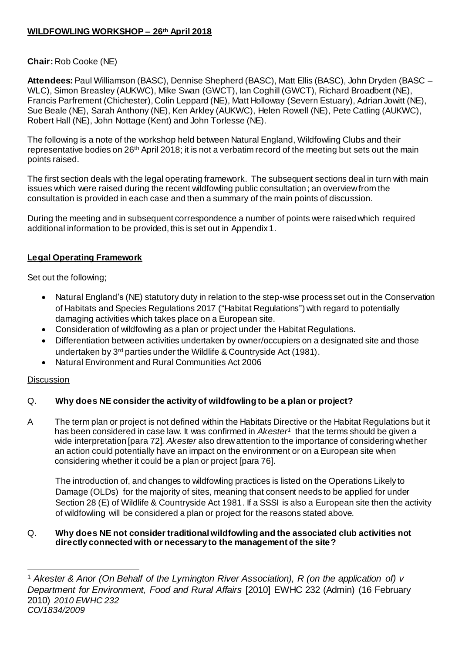# **WILDFOWLING WORKSHOP – 26th April 2018**

# **Chair:** Rob Cooke (NE)

**Attendees:** Paul Williamson (BASC), Dennise Shepherd (BASC), Matt Ellis (BASC), John Dryden (BASC – WLC), Simon Breasley (AUKWC), Mike Swan (GWCT), Ian Coghill (GWCT), Richard Broadbent (NE), Francis Parfrement (Chichester), Colin Leppard (NE), Matt Holloway (Severn Estuary), Adrian Jowitt (NE), Sue Beale (NE), Sarah Anthony (NE), Ken Arkley (AUKWC), Helen Rowell (NE), Pete Catling (AUKWC), Robert Hall (NE), John Nottage (Kent) and John Torlesse (NE).

The following is a note of the workshop held between Natural England, Wildfowling Clubs and their representative bodies on 26<sup>th</sup> April 2018; it is not a verbatim record of the meeting but sets out the main points raised.

The first section deals with the legal operating framework. The subsequent sections deal in turn with main issues which were raised during the recent wildfowling public consultation; an overview from the consultation is provided in each case and then a summary of the main points of discussion.

During the meeting and in subsequent correspondence a number of points were raised which required additional information to be provided, this is set out in Appendix 1.

## **Legal Operating Framework**

Set out the following;

- Natural England's (NE) statutory duty in relation to the step-wise process set out in th[e Conservation](http://www.legislation.gov.uk/uksi/2017/1012/contents/made)  [of Habitats and Species Regulations 2017](http://www.legislation.gov.uk/uksi/2017/1012/contents/made) ("Habitat Regulations") with regard to potentially damaging activities which takes place on a European site.
- Consideration of wildfowling as a plan or project under the Habitat Regulations.
- Differentiation between activities undertaken by owner/occupiers on a designated site and those undertaken by 3rd parties under the Wildlife & Countryside Act (1981).
- Natural Environment and Rural Communities Act 2006

#### **Discussion**

## Q. **Why does NE consider the activity of wildfowling to be a plan or project?**

A The term plan or project is not defined within the Habitats Directive or the Habitat Regulations but it has been considered in case law. It was confirmed in *Akester<sup>1</sup>* that the terms should be given a wide interpretation [para 72]. *Akester* also drew attention to the importance of considering whether an action could potentially have an impact on the environment or on a European site when considering whether it could be a plan or project [para 76].

The introduction of, and changes to wildfowling practices is listed on the Operations Likely to Damage (OLDs) for the majority of sites, meaning that consent needs to be applied for under Section 28 (E) of Wildlife & Countryside Act 1981. If a SSSI is also a European site then the activity of wildfowling will be considered a plan or project for the reasons stated above.

## Q. **Why does NE not consider traditional wildfowling and the associated club activities not directly connected with or necessary to the management of the site?**

<sup>1</sup> <sup>1</sup> *Akester & Anor (On Behalf of the Lymington River Association), R (on the application of) v Department for Environment, Food and Rural Affairs* [2010] EWHC 232 (Admin) (16 February 2010) *2010 EWHC 232 CO/1834/2009*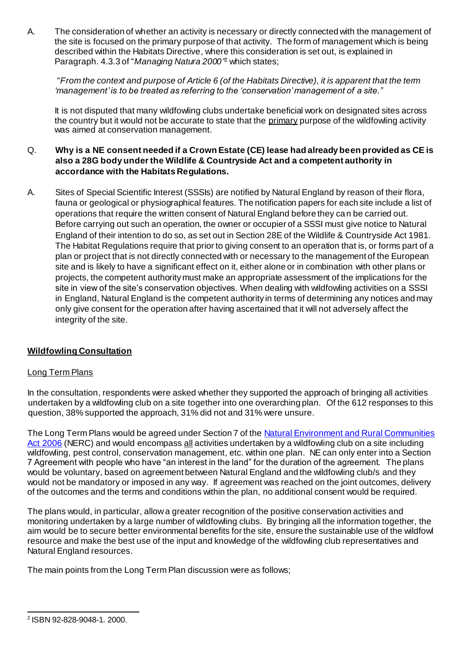A. The consideration of whether an activity is necessary or directly connected with the management of the site is focused on the primary purpose of that activity. The form of management which is being described within the Habitats Directive, where this consideration is set out, is explained in Paragraph. 4.3.3 of "*Managing Natura 2000"* <sup>2</sup> which states;

"*From the context and purpose of Article 6 (of the Habitats Directive), it is apparent that the term 'management' is to be treated as referring to the 'conservation' management of a site."*

It is not disputed that many wildfowling clubs undertake beneficial work on designated sites across the country but it would not be accurate to state that the primary purpose of the wildfowling activity was aimed at conservation management.

### Q. **Why is a NE consent needed if a Crown Estate (CE) lease had already been provided as CE is also a 28G body under the Wildlife & Countryside Act and a competent authority in accordance with the Habitats Regulations.**

A. Sites of Special Scientific Interest (SSSIs) are notified by Natural England by reason of their flora, fauna or geological or physiographical features. The notification papers for each site include a list of operations that require the written consent of Natural England before they can be carried out. Before carrying out such an operation, the owner or occupier of a SSSI must give notice to Natural England of their intention to do so, as set out in Section 28E of the Wildlife & Countryside Act 1981. The Habitat Regulations require that prior to giving consent to an operation that is, or forms part of a plan or project that is not directly connected with or necessary to the management of the European site and is likely to have a significant effect on it, either alone or in combination with other plans or projects, the competent authority must make an appropriate assessment of the implications for the site in view of the site's conservation objectives. When dealing with wildfowling activities on a SSSI in England, Natural England is the competent authority in terms of determining any notices and may only give consent for the operation after having ascertained that it will not adversely affect the integrity of the site.

## **Wildfowling Consultation**

## Long Term Plans

In the consultation, respondents were asked whether they supported the approach of bringing all activities undertaken by a wildfowling club on a site together into one overarching plan. Of the 612 responses to this question, 38% supported the approach, 31% did not and 31% were unsure.

The Long Term Plans would be agreed under Section 7 of the Natural Environment and Rural Communities [Act 2006](http://www.legislation.gov.uk/ukpga/2006/16/section/2) (NERC) and would encompass all activities undertaken by a wildfowling club on a site including wildfowling, pest control, conservation management, etc. within one plan. NE can only enter into a Section 7 Agreement with people who have "an interest in the land" for the duration of the agreement. The plans would be voluntary, based on agreement between Natural England and the wildfowling club/s and they would not be mandatory or imposed in any way. If agreement was reached on the joint outcomes, delivery of the outcomes and the terms and conditions within the plan, no additional consent would be required.

The plans would, in particular, allow a greater recognition of the positive conservation activities and monitoring undertaken by a large number of wildfowling clubs. By bringing all the information together, the aim would be to secure better environmental benefits for the site, ensure the sustainable use of the wildfowl resource and make the best use of the input and knowledge of the wildfowling club representatives and Natural England resources.

The main points from the Long Term Plan discussion were as follows;

<sup>-</sup>2 ISBN 92-828-9048-1. 2000.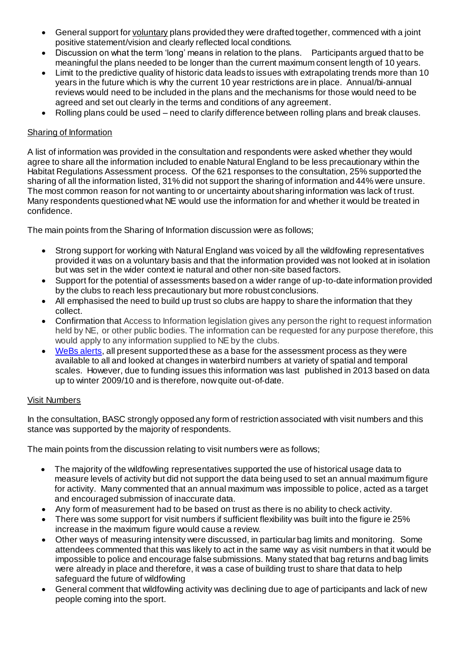- General support for voluntary plans provided they were drafted together, commenced with a joint positive statement/vision and clearly reflected local conditions.
- Discussion on what the term 'long' means in relation to the plans. Participants argued that to be meaningful the plans needed to be longer than the current maximum consent length of 10 years.
- Limit to the predictive quality of historic data leads to issues with extrapolating trends more than 10 years in the future which is why the current 10 year restrictions are in place. Annual/bi-annual reviews would need to be included in the plans and the mechanisms for those would need to be agreed and set out clearly in the terms and conditions of any agreement.
- Rolling plans could be used need to clarify difference between rolling plans and break clauses.

# Sharing of Information

A list of information was provided in the consultation and respondents were asked whether they would agree to share all the information included to enable Natural England to be less precautionary within the Habitat Regulations Assessment process. Of the 621 responses to the consultation, 25% supported the sharing of all the information listed, 31% did not support the sharing of information and 44% were unsure. The most common reason for not wanting to or uncertainty about sharing information was lack of trust. Many respondents questioned what NE would use the information for and whether it would be treated in confidence.

The main points from the Sharing of Information discussion were as follows;

- Strong support for working with Natural England was voiced by all the wildfowling representatives provided it was on a voluntary basis and that the information provided was not looked at in isolation but was set in the wider context ie natural and other non-site based factors.
- Support for the potential of assessments based on a wider range of up-to-date information provided by the clubs to reach less precautionary but more robust conclusions.
- All emphasised the need to build up trust so clubs are happy to share the information that they collect.
- Confirmation that Access to Information legislation gives any person the right to request information held by NE, or other public bodies. The information can be requested for any purpose therefore, this would apply to any information supplied to NE by the clubs.
- [WeBs alerts,](https://www.bto.org/volunteer-surveys/webs/publications/webs-alerts) all present supported these as a base for the assessment process as they were available to all and looked at changes in waterbird numbers at variety of spatial and temporal scales. However, due to funding issues this information was last published in 2013 based on data up to winter 2009/10 and is therefore, now quite out-of-date.

## Visit Numbers

In the consultation, BASC strongly opposed any form of restriction associated with visit numbers and this stance was supported by the majority of respondents.

The main points from the discussion relating to visit numbers were as follows;

- The majority of the wildfowling representatives supported the use of historical usage data to measure levels of activity but did not support the data being used to set an annual maximum figure for activity. Many commented that an annual maximum was impossible to police, acted as a target and encouraged submission of inaccurate data.
- Any form of measurement had to be based on trust as there is no ability to check activity.
- There was some support for visit numbers if sufficient flexibility was built into the figure ie 25% increase in the maximum figure would cause a review.
- Other ways of measuring intensity were discussed, in particular bag limits and monitoring. Some attendees commented that this was likely to act in the same way as visit numbers in that it would be impossible to police and encourage false submissions. Many stated that bag returns and bag limits were already in place and therefore, it was a case of building trust to share that data to help safeguard the future of wildfowling
- General comment that wildfowling activity was declining due to age of participants and lack of new people coming into the sport.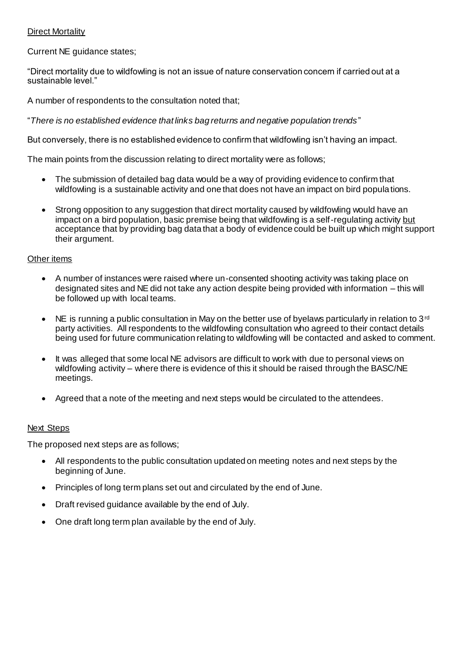## Direct Mortality

Current NE guidance states;

"Direct mortality due to wildfowling is not an issue of nature conservation concern if carried out at a sustainable level."

A number of respondents to the consultation noted that:

"*There is no established evidence that links bag returns and negative population trends*"

But conversely, there is no established evidence to confirm that wildfowling isn't having an impact.

The main points from the discussion relating to direct mortality were as follows;

- The submission of detailed bag data would be a way of providing evidence to confirm that wildfowling is a sustainable activity and one that does not have an impact on bird populations.
- Strong opposition to any suggestion that direct mortality caused by wildfowling would have an impact on a bird population, basic premise being that wildfowling is a self-regulating activity but acceptance that by providing bag data that a body of evidence could be built up which might support their argument.

#### Other items

- A number of instances were raised where un-consented shooting activity was taking place on designated sites and NE did not take any action despite being provided with information – this will be followed up with local teams.
- NE is running a public consultation in May on the better use of byelaws particularly in relation to 3<sup>rd</sup> party activities. All respondents to the wildfowling consultation who agreed to their contact details being used for future communication relating to wildfowling will be contacted and asked to comment.
- It was alleged that some local NE advisors are difficult to work with due to personal views on wildfowling activity – where there is evidence of this it should be raised through the BASC/NE meetings.
- Agreed that a note of the meeting and next steps would be circulated to the attendees.

#### Next Steps

The proposed next steps are as follows;

- All respondents to the public consultation updated on meeting notes and next steps by the beginning of June.
- Principles of long term plans set out and circulated by the end of June.
- Draft revised guidance available by the end of July.
- One draft long term plan available by the end of July.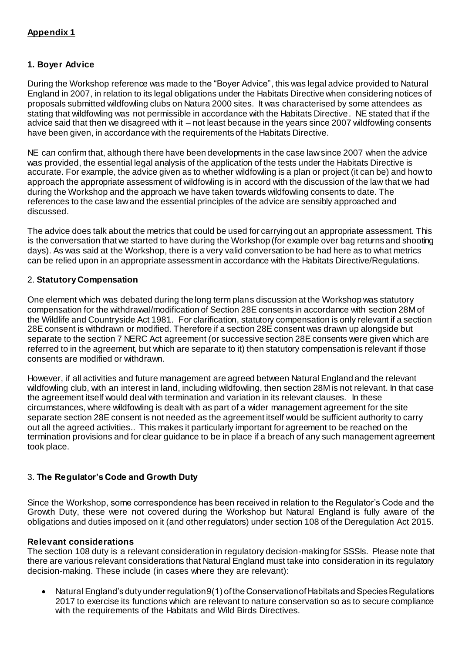# **Appendix 1**

## **1. Boyer Advice**

During the Workshop reference was made to the "Boyer Advice", this was legal advice provided to Natural England in 2007, in relation to its legal obligations under the Habitats Directive when considering notices of proposals submitted wildfowling clubs on Natura 2000 sites. It was characterised by some attendees as stating that wildfowling was not permissible in accordance with the Habitats Directive. NE stated that if the advice said that then we disagreed with it – not least because in the years since 2007 wildfowling consents have been given, in accordance with the requirements of the Habitats Directive.

NE can confirm that, although there have been developments in the case law since 2007 when the advice was provided, the essential legal analysis of the application of the tests under the Habitats Directive is accurate. For example, the advice given as to whether wildfowling is a plan or project (it can be) and how to approach the appropriate assessment of wildfowling is in accord with the discussion of the law that we had during the Workshop and the approach we have taken towards wildfowling consents to date. The references to the case law and the essential principles of the advice are sensibly approached and discussed.

The advice does talk about the metrics that could be used for carrying out an appropriate assessment. This is the conversation that we started to have during the Workshop (for example over bag returns and shooting days). As was said at the Workshop, there is a very valid conversation to be had here as to what metrics can be relied upon in an appropriate assessment in accordance with the Habitats Directive/Regulations.

## 2. **Statutory Compensation**

One element which was debated during the long term plans discussion at the Workshop was statutory compensation for the withdrawal/modification of Section 28E consents in accordance with section 28M of the Wildlife and Countryside Act 1981. For clarification, statutory compensation is only relevant if a section 28E consent is withdrawn or modified. Therefore if a section 28E consent was drawn up alongside but separate to the section 7 NERC Act agreement (or successive section 28E consents were given which are referred to in the agreement, but which are separate to it) then statutory compensation is relevant if those consents are modified or withdrawn.

However, if all activities and future management are agreed between Natural England and the relevant wildfowling club, with an interest in land, including wildfowling, then section 28M is not relevant. In that case the agreement itself would deal with termination and variation in its relevant clauses. In these circumstances, where wildfowling is dealt with as part of a wider management agreement for the site separate section 28E consent is not needed as the agreement itself would be sufficient authority to carry out all the agreed activities.. This makes it particularly important for agreement to be reached on the termination provisions and for clear guidance to be in place if a breach of any such management agreement took place.

## 3. **The Regulator's Code and Growth Duty**

Since the Workshop, some correspondence has been received in relation to the Regulator's Code and the Growth Duty, these were not covered during the Workshop but Natural England is fully aware of the obligations and duties imposed on it (and other regulators) under section 108 of the Deregulation Act 2015.

#### **Relevant considerations**

The section 108 duty is a relevant consideration in regulatory decision-making for SSSIs. Please note that there are various relevant considerations that Natural England must take into consideration in its regulatory decision-making. These include (in cases where they are relevant):

 Natural England's duty under regulation 9(1) of the Conservation of Habitats and Species Regulations 2017 to exercise its functions which are relevant to nature conservation so as to secure compliance with the requirements of the Habitats and Wild Birds Directives.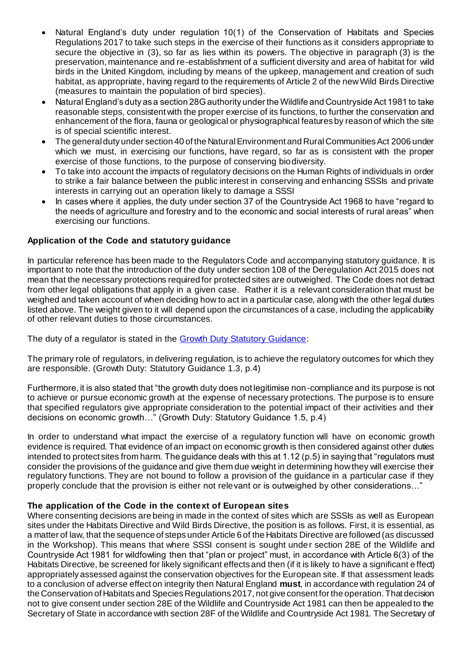- Natural England's duty under regulation 10(1) of the Conservation of Habitats and Species Regulations 2017 to take such steps in the exercise of their functions as it considers appropriate to secure the objective in (3), so far as lies within its powers. The objective in paragraph (3) is the preservation, maintenance and re-establishment of a sufficient diversity and area of habitat for wild birds in the United Kingdom, including by means of the upkeep, management and creation of such habitat, as appropriate, having regard to the requirements of Article 2 of the new Wild Birds Directive (measures to maintain the population of bird species).
- Natural England's duty as a section 28G authority under the Wildlife and Countryside Act 1981 to take reasonable steps, consistent with the proper exercise of its functions, to further the conservation and enhancement of the flora, fauna or geological or physiographical features by reason of which the site is of special scientific interest.
- The general duty under section 40 of the Natural Environment and Rural Communities Act 2006 under which we must, in exercising our functions, have regard, so far as is consistent with the proper exercise of those functions, to the purpose of conserving biodiversity.
- To take into account the impacts of regulatory decisions on the Human Rights of individuals in order to strike a fair balance between the public interest in conserving and enhancing SSSIs and private interests in carrying out an operation likely to damage a SSSI
- In cases where it applies, the duty under section 37 of the Countryside Act 1968 to have "regard to the needs of agriculture and forestry and to the economic and social interests of rural areas" when exercising our functions.

## **Application of the Code and statutory guidance**

In particular reference has been made to the Regulators Code and accompanying statutory guidance. It is important to note that the introduction of the duty under section 108 of the Deregulation Act 2015 does not mean that the necessary protections required for protected sites are outweighed. The Code does not detract from other legal obligations that apply in a given case. Rather it is a relevant consideration that must be weighed and taken account of when deciding how to act in a particular case, along with the other legal duties listed above. The weight given to it will depend upon the circumstances of a case, including the applicability of other relevant duties to those circumstances.

The duty of a regulator is stated in t[he Growth Duty Statutory Guidanc](https://www.gov.uk/government/publications/growth-duty)e:

The primary role of regulators, in delivering regulation, is to achieve the regulatory outcomes for which they are responsible. (Growth Duty: Statutory Guidance 1.3, p.4)

Furthermore, it is also stated that "the growth duty does not legitimise non-compliance and its purpose is not to achieve or pursue economic growth at the expense of necessary protections. The purpose is to ensure that specified regulators give appropriate consideration to the potential impact of their activities and their decisions on economic growth…" (Growth Duty: Statutory Guidance 1.5, p.4)

In order to understand what impact the exercise of a regulatory function will have on economic growth evidence is required. That evidence of an impact on economic growth is then considered against other duties intended to protect sites from harm. The guidance deals with this at 1.12 (p.5) in saying that "regulators must consider the provisions of the guidance and give them due weight in determining how they will exercise their regulatory functions. They are not bound to follow a provision of the guidance in a particular case if they properly conclude that the provision is either not relevant or is outweighed by other considerations…"

## **The application of the Code in the context of European sites**

Where consenting decisions are being in made in the context of sites which are SSSIs as well as European sites under the Habitats Directive and Wild Birds Directive, the position is as follows. First, it is essential, as a matter of law, that the sequence of steps under Article 6 of the Habitats Directive are followed (as discussed in the Workshop). This means that where SSSI consent is sought under section 28E of the Wildlife and Countryside Act 1981 for wildfowling then that "plan or project" must, in accordance with Article 6(3) of the Habitats Directive, be screened for likely significant effects and then (if it is likely to have a significant e ffect) appropriately assessed against the conservation objectives for the European site. If that assessment leads to a conclusion of adverse effect on integrity then Natural England **must**, in accordance with regulation 24 of the Conservation of Habitats and Species Regulations 2017, not give consent for the operation. That decision not to give consent under section 28E of the Wildlife and Countryside Act 1981 can then be appealed to the Secretary of State in accordance with section 28F of the Wildlife and Countryside Act 1981. The Secretary of